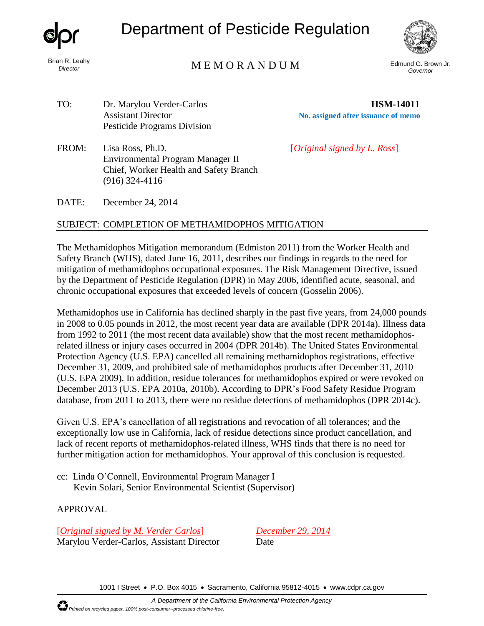

Brian R. Leahy *Director*

Department of Pesticide Regulation



## Edmund G. Brown Jr. M E M O R A N D U M *Governor*

TO: Dr. Marylou Verder-Carlos **HSM-14011** Pesticide Programs Division

(916) 324-4116

Assistant Director **No. assigned after issuance of memo**

FROM: Lisa Ross, Ph.D. [*Original signed by L. Ross*]

DATE: December 24, 2014

## SUBJECT: COMPLETION OF METHAMIDOPHOS MITIGATION

Environmental Program Manager II Chief, Worker Health and Safety Branch

The Methamidophos Mitigation memorandum (Edmiston 2011) from the Worker Health and Safety Branch (WHS), dated June 16, 2011, describes our findings in regards to the need for mitigation of methamidophos occupational exposures. The Risk Management Directive, issued by the Department of Pesticide Regulation (DPR) in May 2006, identified acute, seasonal, and chronic occupational exposures that exceeded levels of concern (Gosselin 2006).

Methamidophos use in California has declined sharply in the past five years, from 24,000 pounds in 2008 to 0.05 pounds in 2012, the most recent year data are available (DPR 2014a). Illness data from 1992 to 2011 (the most recent data available) show that the most recent methamidophosrelated illness or injury cases occurred in 2004 (DPR 2014b). The United States Environmental Protection Agency (U.S. EPA) cancelled all remaining methamidophos registrations, effective December 31, 2009, and prohibited sale of methamidophos products after December 31, 2010 (U.S. EPA 2009). In addition, residue tolerances for methamidophos expired or were revoked on December 2013 (U.S. EPA 2010a, 2010b). According to DPR's Food Safety Residue Program database, from 2011 to 2013, there were no residue detections of methamidophos (DPR 2014c).

Given U.S. EPA's cancellation of all registrations and revocation of all tolerances; and the exceptionally low use in California, lack of residue detections since product cancellation, and lack of recent reports of methamidophos-related illness, WHS finds that there is no need for further mitigation action for methamidophos. Your approval of this conclusion is requested.

cc: Linda O'Connell, Environmental Program Manager I Kevin Solari, Senior Environmental Scientist (Supervisor)

## APPROVAL

[*Original signed by M. Verder Carlos*] *December 29, 2014* Marylou Verder-Carlos, Assistant Director Date

1001 I Street • P.O. Box 4015 • Sacramento, California 95812-4015 • [www.cdpr.ca.gov](http://www.cdpr.ca.gov/)